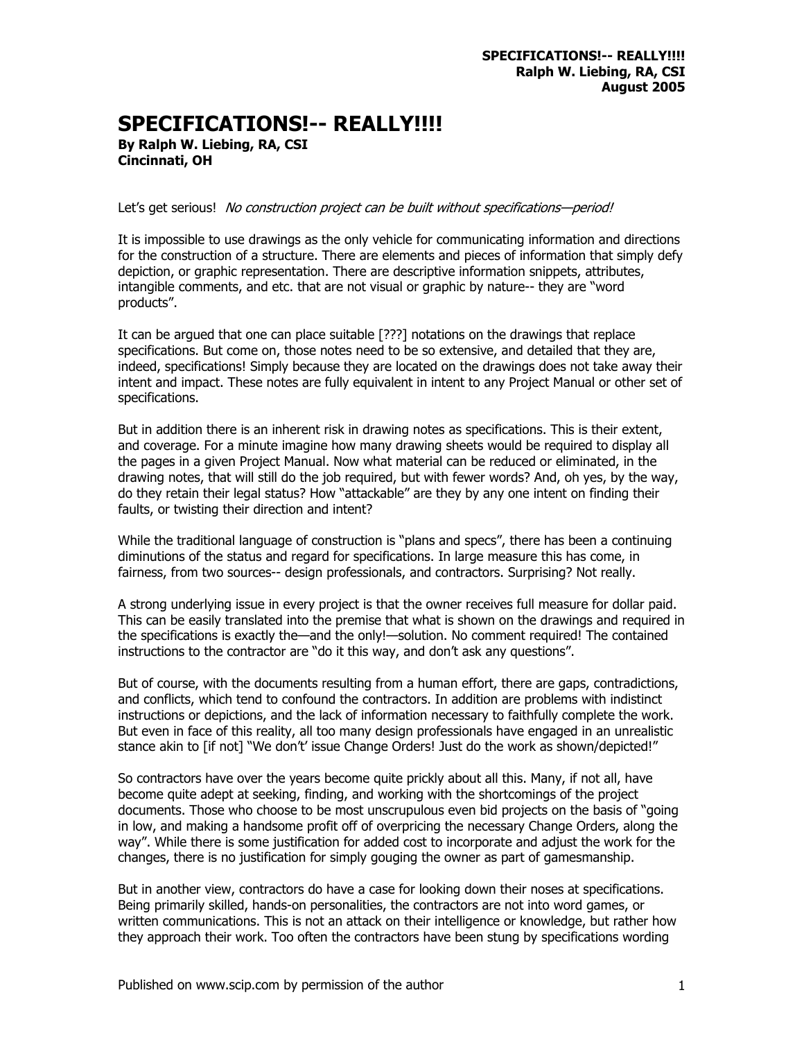## **SPECIFICATIONS!-- REALLY!!!!**

**By Ralph W. Liebing, RA, CSI Cincinnati, OH** 

Let's get serious! No construction project can be built without specifications-period!

It is impossible to use drawings as the only vehicle for communicating information and directions for the construction of a structure. There are elements and pieces of information that simply defy depiction, or graphic representation. There are descriptive information snippets, attributes, intangible comments, and etc. that are not visual or graphic by nature-- they are "word products".

It can be argued that one can place suitable [???] notations on the drawings that replace specifications. But come on, those notes need to be so extensive, and detailed that they are, indeed, specifications! Simply because they are located on the drawings does not take away their intent and impact. These notes are fully equivalent in intent to any Project Manual or other set of specifications.

But in addition there is an inherent risk in drawing notes as specifications. This is their extent, and coverage. For a minute imagine how many drawing sheets would be required to display all the pages in a given Project Manual. Now what material can be reduced or eliminated, in the drawing notes, that will still do the job required, but with fewer words? And, oh yes, by the way, do they retain their legal status? How "attackable" are they by any one intent on finding their faults, or twisting their direction and intent?

While the traditional language of construction is "plans and specs", there has been a continuing diminutions of the status and regard for specifications. In large measure this has come, in fairness, from two sources-- design professionals, and contractors. Surprising? Not really.

A strong underlying issue in every project is that the owner receives full measure for dollar paid. This can be easily translated into the premise that what is shown on the drawings and required in the specifications is exactly the—and the only!—solution. No comment required! The contained instructions to the contractor are "do it this way, and don't ask any questions".

But of course, with the documents resulting from a human effort, there are gaps, contradictions, and conflicts, which tend to confound the contractors. In addition are problems with indistinct instructions or depictions, and the lack of information necessary to faithfully complete the work. But even in face of this reality, all too many design professionals have engaged in an unrealistic stance akin to [if not] "We don't' issue Change Orders! Just do the work as shown/depicted!"

So contractors have over the years become quite prickly about all this. Many, if not all, have become quite adept at seeking, finding, and working with the shortcomings of the project documents. Those who choose to be most unscrupulous even bid projects on the basis of "going in low, and making a handsome profit off of overpricing the necessary Change Orders, along the way". While there is some justification for added cost to incorporate and adjust the work for the changes, there is no justification for simply gouging the owner as part of gamesmanship.

But in another view, contractors do have a case for looking down their noses at specifications. Being primarily skilled, hands-on personalities, the contractors are not into word games, or written communications. This is not an attack on their intelligence or knowledge, but rather how they approach their work. Too often the contractors have been stung by specifications wording